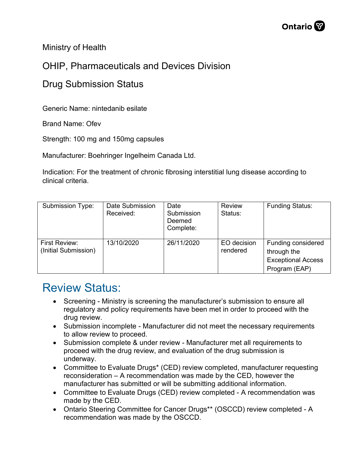

Ministry of Health

## OHIP, Pharmaceuticals and Devices Division

## Drug Submission Status

Generic Name: nintedanib esilate

Brand Name: Ofev

Strength: 100 mg and 150mg capsules

Manufacturer: Boehringer Ingelheim Canada Ltd.

Indication: For the treatment of chronic fibrosing interstitial lung disease according to clinical criteria.

| Submission Type:                      | Date Submission<br>Received: | Date<br>Submission<br>Deemed<br>Complete: | <b>Review</b><br>Status: | <b>Funding Status:</b>                                                          |
|---------------------------------------|------------------------------|-------------------------------------------|--------------------------|---------------------------------------------------------------------------------|
| First Review:<br>(Initial Submission) | 13/10/2020                   | 26/11/2020                                | EO decision<br>rendered  | Funding considered<br>through the<br><b>Exceptional Access</b><br>Program (EAP) |

## Review Status:

- Screening Ministry is screening the manufacturer's submission to ensure all regulatory and policy requirements have been met in order to proceed with the drug review.
- Submission incomplete Manufacturer did not meet the necessary requirements to allow review to proceed.
- Submission complete & under review Manufacturer met all requirements to proceed with the drug review, and evaluation of the drug submission is underway.
- Committee to Evaluate Drugs\* (CED) review completed, manufacturer requesting reconsideration – A recommendation was made by the CED, however the manufacturer has submitted or will be submitting additional information.
- Committee to Evaluate Drugs (CED) review completed A recommendation was made by the CED.
- Ontario Steering Committee for Cancer Drugs\*\* (OSCCD) review completed A recommendation was made by the OSCCD.